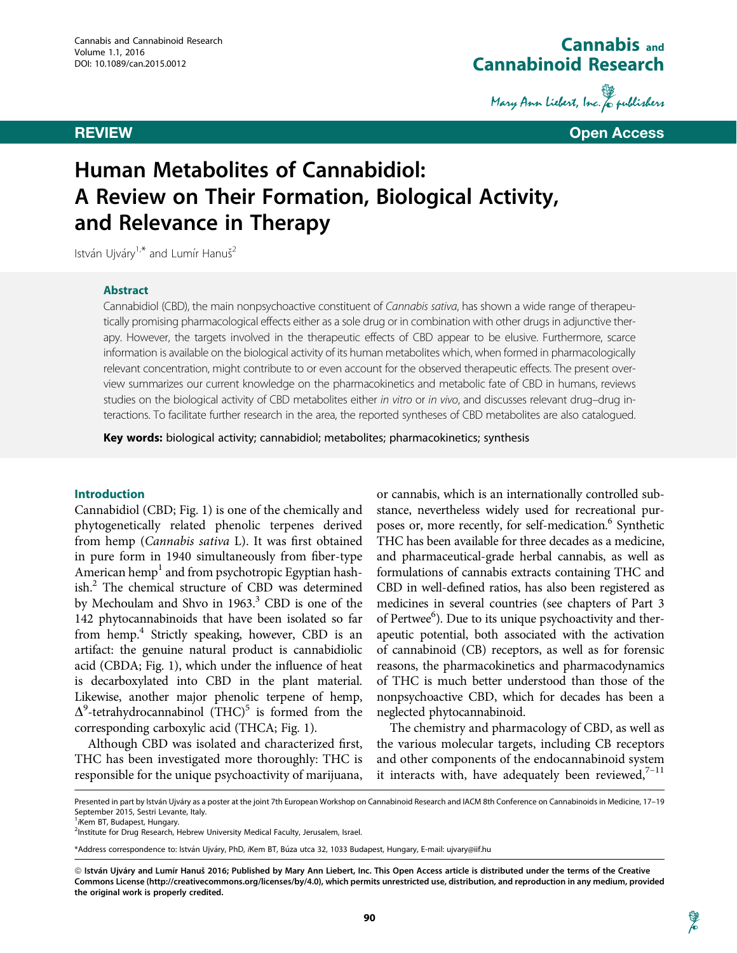# Cannabis and Cannabinoid Research

Mary Ann Liebert, Inc. & publishers

REVIEW Open Access

# Human Metabolites of Cannabidiol: A Review on Their Formation, Biological Activity, and Relevance in Therapy

István Ujváry<sup>1,\*</sup> and Lumír Hanuš<sup>2</sup>

#### Abstract

Cannabidiol (CBD), the main nonpsychoactive constituent of Cannabis sativa, has shown a wide range of therapeutically promising pharmacological effects either as a sole drug or in combination with other drugs in adjunctive therapy. However, the targets involved in the therapeutic effects of CBD appear to be elusive. Furthermore, scarce information is available on the biological activity of its human metabolites which, when formed in pharmacologically relevant concentration, might contribute to or even account for the observed therapeutic effects. The present overview summarizes our current knowledge on the pharmacokinetics and metabolic fate of CBD in humans, reviews studies on the biological activity of CBD metabolites either in vitro or in vivo, and discusses relevant drug-drug interactions. To facilitate further research in the area, the reported syntheses of CBD metabolites are also catalogued.

Key words: biological activity; cannabidiol; metabolites; pharmacokinetics; synthesis

#### Introduction

Cannabidiol (CBD; Fig. 1) is one of the chemically and phytogenetically related phenolic terpenes derived from hemp (Cannabis sativa L). It was first obtained in pure form in 1940 simultaneously from fiber-type American hemp<sup>1</sup> and from psychotropic Egyptian hashish.<sup>2</sup> The chemical structure of CBD was determined by Mechoulam and Shvo in 1963.<sup>3</sup> CBD is one of the 142 phytocannabinoids that have been isolated so far from hemp.<sup>4</sup> Strictly speaking, however, CBD is an artifact: the genuine natural product is cannabidiolic acid (CBDA; Fig. 1), which under the influence of heat is decarboxylated into CBD in the plant material. Likewise, another major phenolic terpene of hemp,  $\Delta^9$ -tetrahydrocannabinol (THC)<sup>5</sup> is formed from the corresponding carboxylic acid (THCA; Fig. 1).

Although CBD was isolated and characterized first, THC has been investigated more thoroughly: THC is responsible for the unique psychoactivity of marijuana, or cannabis, which is an internationally controlled substance, nevertheless widely used for recreational purposes or, more recently, for self-medication.<sup>6</sup> Synthetic THC has been available for three decades as a medicine, and pharmaceutical-grade herbal cannabis, as well as formulations of cannabis extracts containing THC and CBD in well-defined ratios, has also been registered as medicines in several countries (see chapters of Part 3 of Pertwee<sup>6</sup>). Due to its unique psychoactivity and therapeutic potential, both associated with the activation of cannabinoid (CB) receptors, as well as for forensic reasons, the pharmacokinetics and pharmacodynamics of THC is much better understood than those of the nonpsychoactive CBD, which for decades has been a neglected phytocannabinoid.

The chemistry and pharmacology of CBD, as well as the various molecular targets, including CB receptors and other components of the endocannabinoid system it interacts with, have adequately been reviewed, $7-11$ 

Presented in part by István Ujváry as a poster at the joint 7th European Workshop on Cannabinoid Research and IACM 8th Conference on Cannabinoids in Medicine, 17-19 September 2015, Sestri Levante, Italy.

<sup>&</sup>lt;sup>1</sup> Kem BT, Budapest, Hungary.

<sup>&</sup>lt;sup>2</sup>Institute for Drug Research, Hebrew University Medical Faculty, Jerusalem, Israel.

<sup>\*</sup>Address correspondence to: István Ujváry, PhD, iKem BT, Búza utca 32, 1033 Budapest, Hungary, E-mail: ujvary@iif.hu

<sup>©</sup> István Ujváry and Lumír Hanuš 2016; Published by Mary Ann Liebert, Inc. This Open Access article is distributed under the terms of the Creative Commons License (http://creativecommons.org/licenses/by/4.0), which permits unrestricted use, distribution, and reproduction in any medium, provided the original work is properly credited.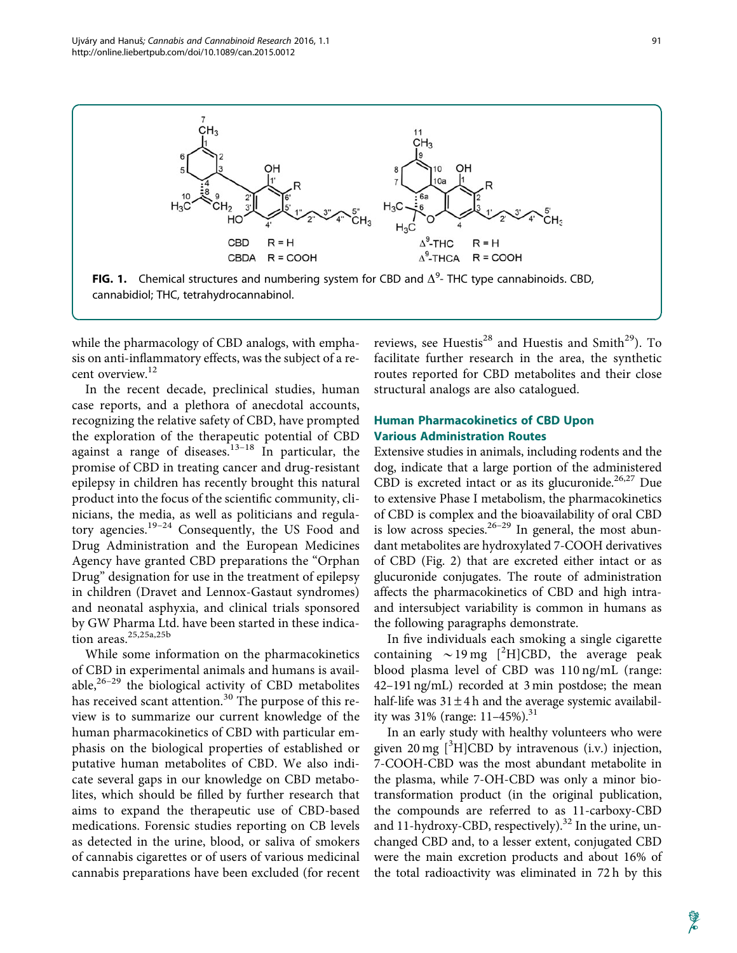

while the pharmacology of CBD analogs, with emphasis on anti-inflammatory effects, was the subject of a recent overview.<sup>12</sup>

In the recent decade, preclinical studies, human case reports, and a plethora of anecdotal accounts, recognizing the relative safety of CBD, have prompted the exploration of the therapeutic potential of CBD against a range of diseases.<sup>13–18</sup> In particular, the promise of CBD in treating cancer and drug-resistant epilepsy in children has recently brought this natural product into the focus of the scientific community, clinicians, the media, as well as politicians and regulatory agencies.<sup>19–24</sup> Consequently, the US Food and Drug Administration and the European Medicines Agency have granted CBD preparations the ''Orphan Drug'' designation for use in the treatment of epilepsy in children (Dravet and Lennox-Gastaut syndromes) and neonatal asphyxia, and clinical trials sponsored by GW Pharma Ltd. have been started in these indication areas.<sup>25,25a,25b</sup>

While some information on the pharmacokinetics of CBD in experimental animals and humans is available, $26-29$  the biological activity of CBD metabolites has received scant attention.<sup>30</sup> The purpose of this review is to summarize our current knowledge of the human pharmacokinetics of CBD with particular emphasis on the biological properties of established or putative human metabolites of CBD. We also indicate several gaps in our knowledge on CBD metabolites, which should be filled by further research that aims to expand the therapeutic use of CBD-based medications. Forensic studies reporting on CB levels as detected in the urine, blood, or saliva of smokers of cannabis cigarettes or of users of various medicinal cannabis preparations have been excluded (for recent reviews, see Huestis<sup>28</sup> and Huestis and Smith<sup>29</sup>). To facilitate further research in the area, the synthetic routes reported for CBD metabolites and their close structural analogs are also catalogued.

### Human Pharmacokinetics of CBD Upon Various Administration Routes

Extensive studies in animals, including rodents and the dog, indicate that a large portion of the administered CBD is excreted intact or as its glucuronide.<sup>26,27</sup> Due to extensive Phase I metabolism, the pharmacokinetics of CBD is complex and the bioavailability of oral CBD is low across species. $26-29$  In general, the most abundant metabolites are hydroxylated 7-COOH derivatives of CBD (Fig. 2) that are excreted either intact or as glucuronide conjugates. The route of administration affects the pharmacokinetics of CBD and high intraand intersubject variability is common in humans as the following paragraphs demonstrate.

In five individuals each smoking a single cigarette containing  $\sim$  19 mg [<sup>2</sup>H]CBD, the average peak blood plasma level of CBD was 110 ng/mL (range: 42–191 ng/mL) recorded at 3 min postdose; the mean half-life was  $31 \pm 4$  h and the average systemic availability was  $31\%$  (range:  $11-45\%$ ).<sup>31</sup>

In an early study with healthy volunteers who were given 20 mg  $[{}^{3}H]$ CBD by intravenous (i.v.) injection, 7-COOH-CBD was the most abundant metabolite in the plasma, while 7-OH-CBD was only a minor biotransformation product (in the original publication, the compounds are referred to as 11-carboxy-CBD and 11-hydroxy-CBD, respectively).<sup>32</sup> In the urine, unchanged CBD and, to a lesser extent, conjugated CBD were the main excretion products and about 16% of the total radioactivity was eliminated in 72 h by this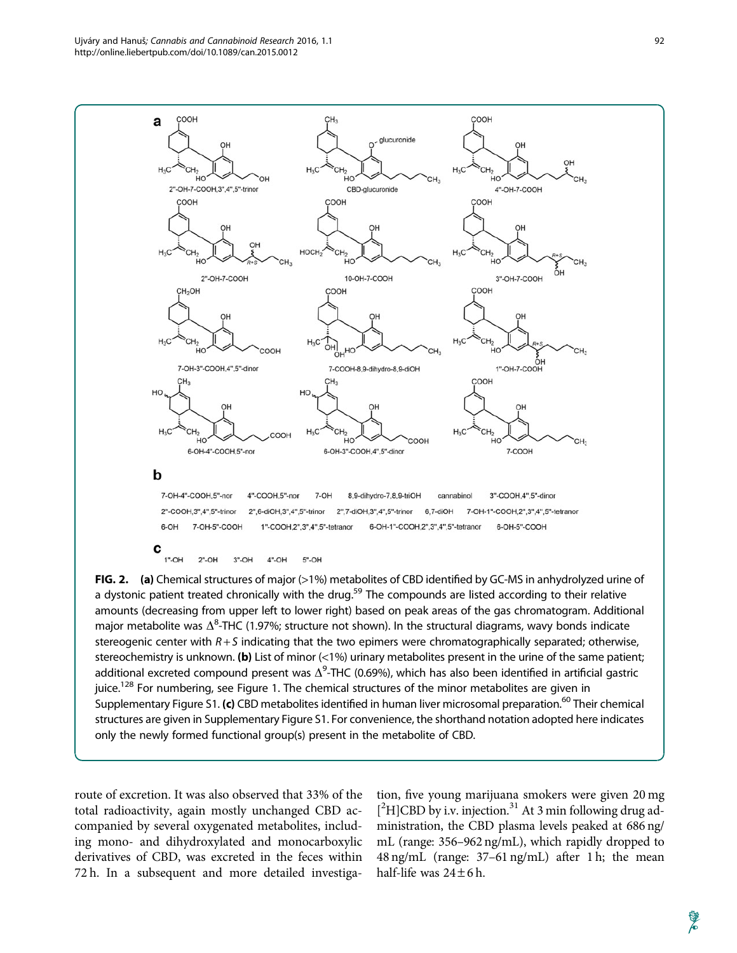

FIG. 2. (a) Chemical structures of major (>1%) metabolites of CBD identified by GC-MS in anhydrolyzed urine of a dystonic patient treated chronically with the drug.<sup>59</sup> The compounds are listed according to their relative amounts (decreasing from upper left to lower right) based on peak areas of the gas chromatogram. Additional major metabolite was  $\Delta^8$ -THC (1.97%; structure not shown). In the structural diagrams, wavy bonds indicate stereogenic center with  $R + S$  indicating that the two epimers were chromatographically separated; otherwise, stereochemistry is unknown. (b) List of minor  $($ <1%) urinary metabolites present in the urine of the same patient; additional excreted compound present was  $\Delta^9$ -THC (0.69%), which has also been identified in artificial gastric juice.<sup>128</sup> For numbering, see Figure 1. The chemical structures of the minor metabolites are given in Supplementary Figure S1. (c) CBD metabolites identified in human liver microsomal preparation.<sup>60</sup> Their chemical structures are given in Supplementary Figure S1. For convenience, the shorthand notation adopted here indicates only the newly formed functional group(s) present in the metabolite of CBD.

route of excretion. It was also observed that 33% of the total radioactivity, again mostly unchanged CBD accompanied by several oxygenated metabolites, including mono- and dihydroxylated and monocarboxylic derivatives of CBD, was excreted in the feces within 72 h. In a subsequent and more detailed investigation, five young marijuana smokers were given 20 mg [<sup>2</sup>H]CBD by i.v. injection.<sup>31</sup> At 3 min following drug administration, the CBD plasma levels peaked at 686 ng/ mL (range: 356–962 ng/mL), which rapidly dropped to 48 ng/mL (range: 37–61 ng/mL) after 1 h; the mean half-life was  $24 \pm 6$  h.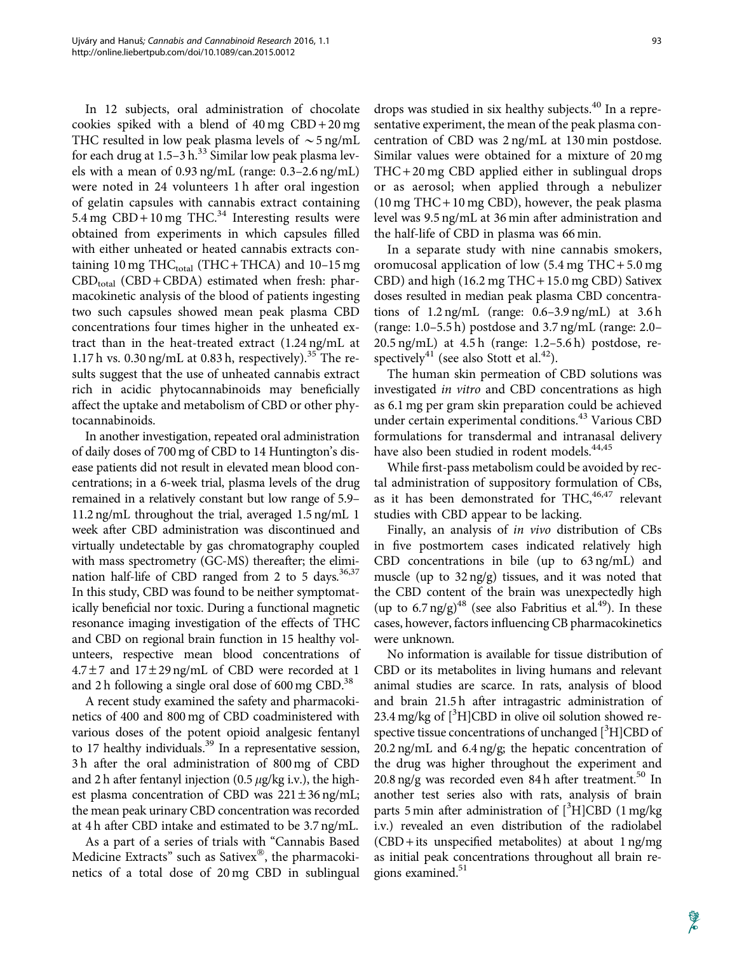In 12 subjects, oral administration of chocolate cookies spiked with a blend of  $40 \text{ mg }$  CBD +  $20 \text{ mg}$ THC resulted in low peak plasma levels of  $\sim$  5 ng/mL for each drug at  $1.5-3 h^{33}$  Similar low peak plasma levels with a mean of 0.93 ng/mL (range: 0.3–2.6 ng/mL) were noted in 24 volunteers 1 h after oral ingestion of gelatin capsules with cannabis extract containing 5.4 mg  $CBD + 10$  mg THC.<sup>34</sup> Interesting results were obtained from experiments in which capsules filled with either unheated or heated cannabis extracts containing 10 mg THC $_{\text{total}}$  (THC + THCA) and 10–15 mg  $CBD_{total}$  (CBD + CBDA) estimated when fresh: pharmacokinetic analysis of the blood of patients ingesting two such capsules showed mean peak plasma CBD concentrations four times higher in the unheated extract than in the heat-treated extract (1.24 ng/mL at 1.17 h vs.  $0.30$  ng/mL at  $0.83$  h, respectively).<sup>35</sup> The results suggest that the use of unheated cannabis extract rich in acidic phytocannabinoids may beneficially affect the uptake and metabolism of CBD or other phytocannabinoids.

In another investigation, repeated oral administration of daily doses of 700 mg of CBD to 14 Huntington's disease patients did not result in elevated mean blood concentrations; in a 6-week trial, plasma levels of the drug remained in a relatively constant but low range of 5.9– 11.2 ng/mL throughout the trial, averaged 1.5 ng/mL 1 week after CBD administration was discontinued and virtually undetectable by gas chromatography coupled with mass spectrometry (GC-MS) thereafter; the elimination half-life of CBD ranged from 2 to 5 days.<sup>36,37</sup> In this study, CBD was found to be neither symptomatically beneficial nor toxic. During a functional magnetic resonance imaging investigation of the effects of THC and CBD on regional brain function in 15 healthy volunteers, respective mean blood concentrations of  $4.7\pm7$  and  $17\pm29$  ng/mL of CBD were recorded at 1 and 2 h following a single oral dose of  $600 \text{ mg }$  CBD.<sup>38</sup>

A recent study examined the safety and pharmacokinetics of 400 and 800 mg of CBD coadministered with various doses of the potent opioid analgesic fentanyl to 17 healthy individuals.<sup>39</sup> In a representative session, 3 h after the oral administration of 800 mg of CBD and 2 h after fentanyl injection (0.5  $\mu$ g/kg i.v.), the highest plasma concentration of CBD was  $221 \pm 36$  ng/mL; the mean peak urinary CBD concentration was recorded at 4 h after CBD intake and estimated to be 3.7 ng/mL.

As a part of a series of trials with ''Cannabis Based Medicine Extracts" such as Sativex®, the pharmacokinetics of a total dose of 20 mg CBD in sublingual

drops was studied in six healthy subjects.<sup>40</sup> In a representative experiment, the mean of the peak plasma concentration of CBD was 2 ng/mL at 130 min postdose. Similar values were obtained for a mixture of 20 mg THC+ 20 mg CBD applied either in sublingual drops or as aerosol; when applied through a nebulizer (10 mg THC+ 10 mg CBD), however, the peak plasma level was 9.5 ng/mL at 36 min after administration and the half-life of CBD in plasma was 66 min.

In a separate study with nine cannabis smokers, oromucosal application of low (5.4 mg THC + 5.0 mg CBD) and high (16.2 mg THC + 15.0 mg CBD) Sativex doses resulted in median peak plasma CBD concentrations of 1.2 ng/mL (range: 0.6–3.9 ng/mL) at 3.6 h (range: 1.0–5.5 h) postdose and 3.7 ng/mL (range: 2.0– 20.5 ng/mL) at 4.5 h (range: 1.2–5.6 h) postdose, respectively<sup>41</sup> (see also Stott et al.<sup>42</sup>).

The human skin permeation of CBD solutions was investigated in vitro and CBD concentrations as high as 6.1 mg per gram skin preparation could be achieved under certain experimental conditions.<sup>43</sup> Various CBD formulations for transdermal and intranasal delivery have also been studied in rodent models.<sup>44,45</sup>

While first-pass metabolism could be avoided by rectal administration of suppository formulation of CBs, as it has been demonstrated for THC, $46,47$  relevant studies with CBD appear to be lacking.

Finally, an analysis of in vivo distribution of CBs in five postmortem cases indicated relatively high CBD concentrations in bile (up to 63 ng/mL) and muscle (up to  $32 \text{ ng/g}$ ) tissues, and it was noted that the CBD content of the brain was unexpectedly high (up to 6.7 ng/g)<sup>48</sup> (see also Fabritius et al.<sup>49</sup>). In these cases, however, factors influencing CB pharmacokinetics were unknown.

No information is available for tissue distribution of CBD or its metabolites in living humans and relevant animal studies are scarce. In rats, analysis of blood and brain 21.5 h after intragastric administration of 23.4 mg/kg of  $[^{3}H]$ CBD in olive oil solution showed respective tissue concentrations of unchanged [3H]CBD of 20.2 ng/mL and 6.4 ng/g; the hepatic concentration of the drug was higher throughout the experiment and 20.8 ng/g was recorded even 84 h after treatment.<sup>50</sup> In another test series also with rats, analysis of brain parts 5 min after administration of  $[^3\text{H}] \dot{\text{C}} \text{BD}$  (1 mg/kg i.v.) revealed an even distribution of the radiolabel  $(CBD + its unspecified metabolites)$  at about 1 ng/mg as initial peak concentrations throughout all brain regions examined. $51$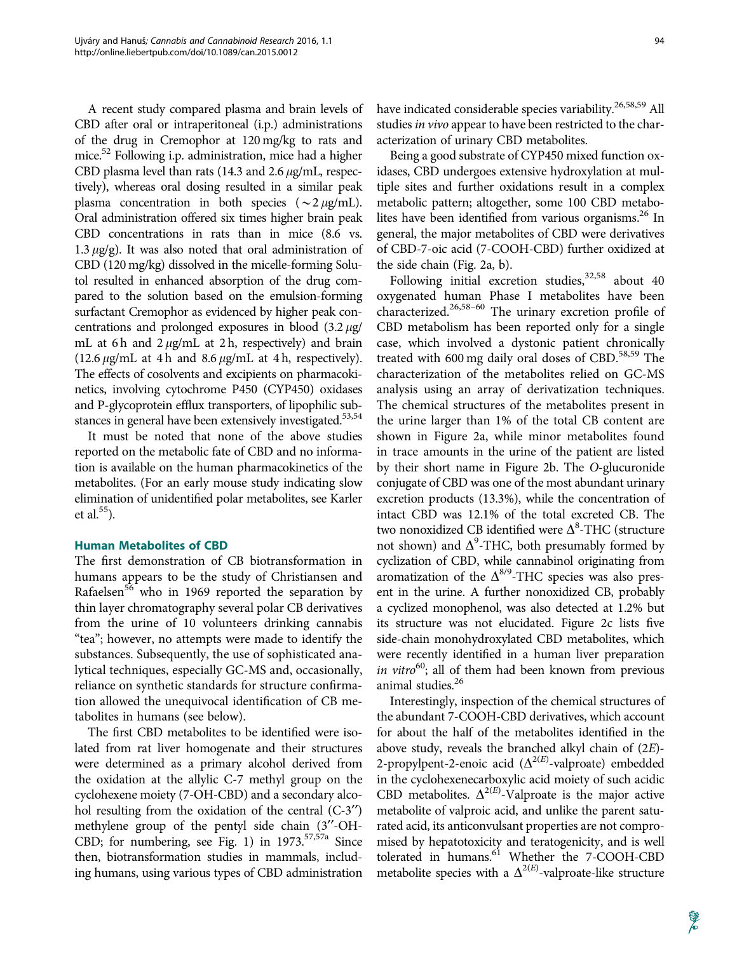A recent study compared plasma and brain levels of CBD after oral or intraperitoneal (i.p.) administrations of the drug in Cremophor at 120 mg/kg to rats and mice.<sup>52</sup> Following i.p. administration, mice had a higher CBD plasma level than rats (14.3 and 2.6  $\mu$ g/mL, respectively), whereas oral dosing resulted in a similar peak plasma concentration in both species ( $\sim$ 2  $\mu$ g/mL). Oral administration offered six times higher brain peak CBD concentrations in rats than in mice (8.6 vs. 1.3  $\mu$ g/g). It was also noted that oral administration of CBD (120 mg/kg) dissolved in the micelle-forming Solutol resulted in enhanced absorption of the drug compared to the solution based on the emulsion-forming surfactant Cremophor as evidenced by higher peak concentrations and prolonged exposures in blood  $(3.2 \mu g)$ mL at 6h and  $2 \mu g/mL$  at 2h, respectively) and brain  $(12.6 \,\mu g/mL$  at 4 h and 8.6  $\mu g/mL$  at 4 h, respectively). The effects of cosolvents and excipients on pharmacokinetics, involving cytochrome P450 (CYP450) oxidases and P-glycoprotein efflux transporters, of lipophilic substances in general have been extensively investigated.<sup>53,54</sup>

It must be noted that none of the above studies reported on the metabolic fate of CBD and no information is available on the human pharmacokinetics of the metabolites. (For an early mouse study indicating slow elimination of unidentified polar metabolites, see Karler et al. $55$ ).

#### Human Metabolites of CBD

The first demonstration of CB biotransformation in humans appears to be the study of Christiansen and Rafaelsen<sup>56</sup> who in 1969 reported the separation by thin layer chromatography several polar CB derivatives from the urine of 10 volunteers drinking cannabis "tea"; however, no attempts were made to identify the substances. Subsequently, the use of sophisticated analytical techniques, especially GC-MS and, occasionally, reliance on synthetic standards for structure confirmation allowed the unequivocal identification of CB metabolites in humans (see below).

The first CBD metabolites to be identified were isolated from rat liver homogenate and their structures were determined as a primary alcohol derived from the oxidation at the allylic C-7 methyl group on the cyclohexene moiety (7-OH-CBD) and a secondary alcohol resulting from the oxidation of the central  $(C-3'')$ methylene group of the pentyl side chain (3"-OH-CBD; for numbering, see Fig. 1) in  $1973.5757a$  Since then, biotransformation studies in mammals, including humans, using various types of CBD administration have indicated considerable species variability.<sup>26,58,59</sup> All studies in vivo appear to have been restricted to the characterization of urinary CBD metabolites.

Being a good substrate of CYP450 mixed function oxidases, CBD undergoes extensive hydroxylation at multiple sites and further oxidations result in a complex metabolic pattern; altogether, some 100 CBD metabolites have been identified from various organisms.<sup>26</sup> In general, the major metabolites of CBD were derivatives of CBD-7-oic acid (7-COOH-CBD) further oxidized at the side chain (Fig. 2a, b).

Following initial excretion studies,  $32,58$  about 40 oxygenated human Phase I metabolites have been characterized.26,58–60 The urinary excretion profile of CBD metabolism has been reported only for a single case, which involved a dystonic patient chronically treated with 600 mg daily oral doses of CBD.<sup>58,59</sup> The characterization of the metabolites relied on GC-MS analysis using an array of derivatization techniques. The chemical structures of the metabolites present in the urine larger than 1% of the total CB content are shown in Figure 2a, while minor metabolites found in trace amounts in the urine of the patient are listed by their short name in Figure 2b. The O-glucuronide conjugate of CBD was one of the most abundant urinary excretion products (13.3%), while the concentration of intact CBD was 12.1% of the total excreted CB. The two nonoxidized CB identified were  $\Delta^8\text{-}\text{THC}$  (structure not shown) and  $\Delta^9$ -THC, both presumably formed by cyclization of CBD, while cannabinol originating from aromatization of the  $\Delta^{8/9}$ -THC species was also present in the urine. A further nonoxidized CB, probably a cyclized monophenol, was also detected at 1.2% but its structure was not elucidated. Figure 2c lists five side-chain monohydroxylated CBD metabolites, which were recently identified in a human liver preparation in vitro $60$ ; all of them had been known from previous animal studies.<sup>26</sup>

Interestingly, inspection of the chemical structures of the abundant 7-COOH-CBD derivatives, which account for about the half of the metabolites identified in the above study, reveals the branched alkyl chain of (2E)- 2-propylpent-2-enoic acid  $(\Delta^{2(E)}$ -valproate) embedded in the cyclohexenecarboxylic acid moiety of such acidic CBD metabolites.  $\Delta^{2(E)}$ -Valproate is the major active metabolite of valproic acid, and unlike the parent saturated acid, its anticonvulsant properties are not compromised by hepatotoxicity and teratogenicity, and is well tolerated in humans.<sup>61</sup> Whether the 7-COOH-CBD metabolite species with a  $\Delta^{2(E)}$ -valproate-like structure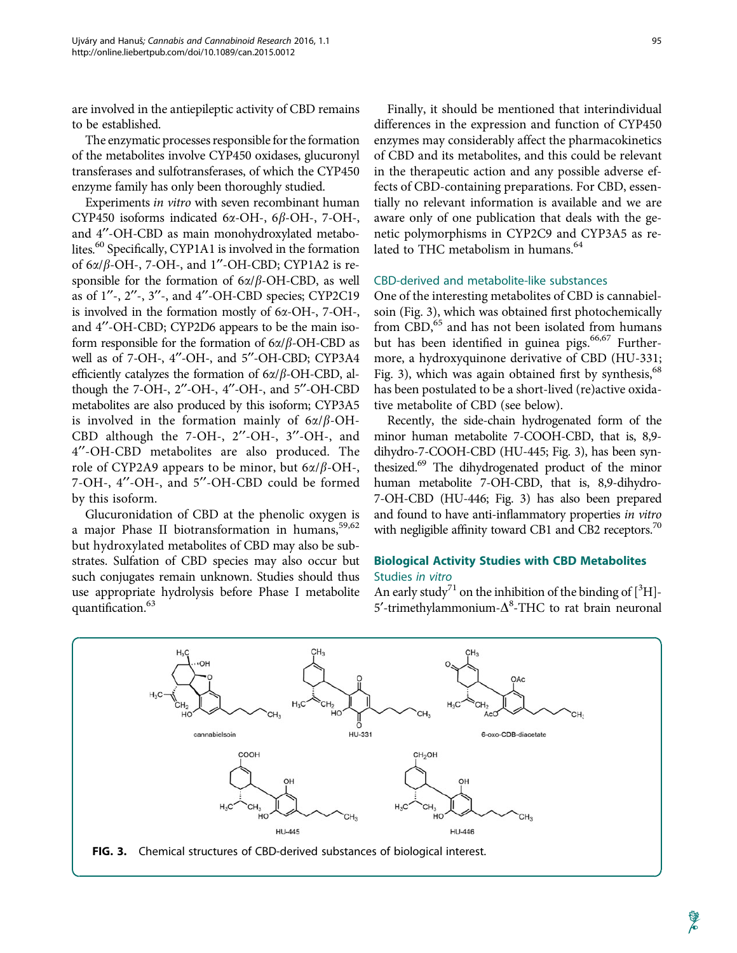are involved in the antiepileptic activity of CBD remains to be established.

The enzymatic processes responsible for the formation of the metabolites involve CYP450 oxidases, glucuronyl transferases and sulfotransferases, of which the CYP450 enzyme family has only been thoroughly studied.

Experiments in vitro with seven recombinant human CYP450 isoforms indicated 6 $\alpha$ -OH-, 6 $\beta$ -OH-, 7-OH-, and 4"-OH-CBD as main monohydroxylated metabolites.<sup>60</sup> Specifically, CYP1A1 is involved in the formation of  $6\alpha/\beta$ -OH-, 7-OH-, and 1"-OH-CBD; CYP1A2 is responsible for the formation of  $6\alpha/\beta$ -OH-CBD, as well as of  $1^{\prime\prime}$ -,  $2^{\prime\prime}$ -,  $3^{\prime\prime}$ -, and  $4^{\prime\prime}$ -OH-CBD species; CYP2C19 is involved in the formation mostly of 6a-OH-, 7-OH-, and 4"-OH-CBD; CYP2D6 appears to be the main isoform responsible for the formation of  $6\alpha/\beta$ -OH-CBD as well as of 7-OH-, 4"-OH-, and 5"-OH-CBD; CYP3A4 efficiently catalyzes the formation of  $6\alpha/\beta$ -OH-CBD, although the 7-OH-,  $2''$ -OH-,  $4''$ -OH-, and  $5''$ -OH-CBD metabolites are also produced by this isoform; CYP3A5 is involved in the formation mainly of  $6\alpha/\beta$ -OH-CBD although the 7-OH-, 2"-OH-, 3"-OH-, and 4¢¢-OH-CBD metabolites are also produced. The role of CYP2A9 appears to be minor, but  $6\alpha/\beta$ -OH-, 7-OH-, 4"-OH-, and 5"-OH-CBD could be formed by this isoform.

Glucuronidation of CBD at the phenolic oxygen is a major Phase II biotransformation in humans, 59,62 but hydroxylated metabolites of CBD may also be substrates. Sulfation of CBD species may also occur but such conjugates remain unknown. Studies should thus use appropriate hydrolysis before Phase I metabolite quantification.<sup>63</sup>

Finally, it should be mentioned that interindividual differences in the expression and function of CYP450 enzymes may considerably affect the pharmacokinetics of CBD and its metabolites, and this could be relevant in the therapeutic action and any possible adverse effects of CBD-containing preparations. For CBD, essentially no relevant information is available and we are aware only of one publication that deals with the genetic polymorphisms in CYP2C9 and CYP3A5 as related to THC metabolism in humans.<sup>64</sup>

#### CBD-derived and metabolite-like substances

One of the interesting metabolites of CBD is cannabielsoin (Fig. 3), which was obtained first photochemically from CBD,<sup>65</sup> and has not been isolated from humans but has been identified in guinea pigs. $66,67$  Furthermore, a hydroxyquinone derivative of CBD (HU-331; Fig. 3), which was again obtained first by synthesis,  $68$ has been postulated to be a short-lived (re)active oxidative metabolite of CBD (see below).

Recently, the side-chain hydrogenated form of the minor human metabolite 7-COOH-CBD, that is, 8,9 dihydro-7-COOH-CBD (HU-445; Fig. 3), has been synthesized.<sup>69</sup> The dihydrogenated product of the minor human metabolite 7-OH-CBD, that is, 8,9-dihydro-7-OH-CBD (HU-446; Fig. 3) has also been prepared and found to have anti-inflammatory properties in vitro with negligible affinity toward CB1 and CB2 receptors.<sup>70</sup>

### Biological Activity Studies with CBD Metabolites Studies in vitro

An early study<sup>71</sup> on the inhibition of the binding of  $[^3H]$ -5'-trimethylammonium- $\Delta^8$ -THC to rat brain neuronal



FIG. 3. Chemical structures of CBD-derived substances of biological interest.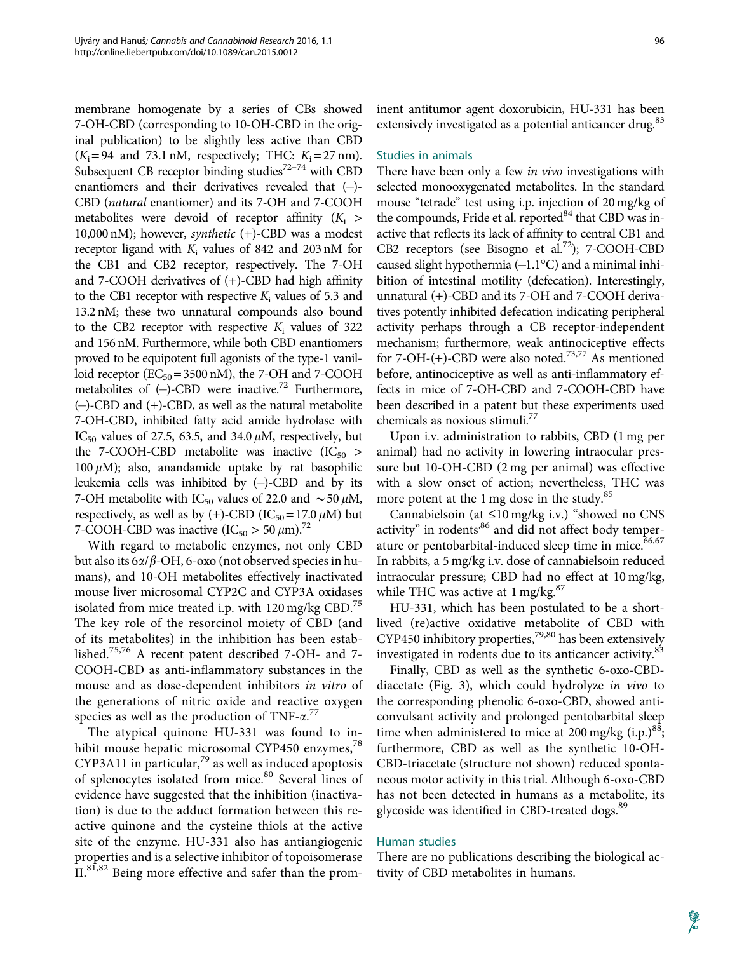membrane homogenate by a series of CBs showed 7-OH-CBD (corresponding to 10-OH-CBD in the original publication) to be slightly less active than CBD  $(K_i = 94$  and 73.1 nM, respectively; THC:  $K_i = 27$  nm). Subsequent CB receptor binding studies $72-74$  with CBD enantiomers and their derivatives revealed that  $(-)$ -CBD (natural enantiomer) and its 7-OH and 7-COOH metabolites were devoid of receptor affinity  $(K_i >$ 10,000 nM); however, *synthetic*  $(+)$ -CBD was a modest receptor ligand with  $K_i$  values of 842 and 203 nM for the CB1 and CB2 receptor, respectively. The 7-OH and 7-COOH derivatives of (+)-CBD had high affinity to the CB1 receptor with respective  $K_i$  values of 5.3 and 13.2 nM; these two unnatural compounds also bound to the CB2 receptor with respective  $K_i$  values of 322 and 156 nM. Furthermore, while both CBD enantiomers proved to be equipotent full agonists of the type-1 vanilloid receptor  $(EC_{50} = 3500 \text{ nM})$ , the 7-OH and 7-COOH metabolites of  $(-)$ -CBD were inactive.<sup>72</sup> Furthermore, (-)-CBD and (+)-CBD, as well as the natural metabolite 7-OH-CBD, inhibited fatty acid amide hydrolase with IC<sub>50</sub> values of 27.5, 63.5, and 34.0  $\mu$ M, respectively, but the 7-COOH-CBD metabolite was inactive  $(IC_{50} >$ 100  $\mu$ M); also, anandamide uptake by rat basophilic leukemia cells was inhibited by (-)-CBD and by its 7-OH metabolite with IC<sub>50</sub> values of 22.0 and  $\sim$  50  $\mu$ M, respectively, as well as by (+)-CBD (IC<sub>50</sub> = 17.0  $\mu$ M) but 7-COOH-CBD was inactive  $(IC_{50} > 50 \,\mu\text{m})$ .<sup>72</sup>

With regard to metabolic enzymes, not only CBD but also its  $6\alpha/\beta$ -OH, 6-oxo (not observed species in humans), and 10-OH metabolites effectively inactivated mouse liver microsomal CYP2C and CYP3A oxidases isolated from mice treated i.p. with  $120 \text{ mg/kg}$  CBD.<sup>75</sup> The key role of the resorcinol moiety of CBD (and of its metabolites) in the inhibition has been established.75,76 A recent patent described 7-OH- and 7- COOH-CBD as anti-inflammatory substances in the mouse and as dose-dependent inhibitors *in vitro* of the generations of nitric oxide and reactive oxygen species as well as the production of TNF- $\alpha$ .<sup>77</sup>

The atypical quinone HU-331 was found to inhibit mouse hepatic microsomal CYP450 enzymes,<sup>78</sup> CYP3A11 in particular, $^{79}$  as well as induced apoptosis of splenocytes isolated from mice.<sup>80</sup> Several lines of evidence have suggested that the inhibition (inactivation) is due to the adduct formation between this reactive quinone and the cysteine thiols at the active site of the enzyme. HU-331 also has antiangiogenic properties and is a selective inhibitor of topoisomerase II.<sup>81,82</sup> Being more effective and safer than the prominent antitumor agent doxorubicin, HU-331 has been extensively investigated as a potential anticancer drug.<sup>83</sup>

#### Studies in animals

There have been only a few *in vivo* investigations with selected monooxygenated metabolites. In the standard mouse "tetrade" test using i.p. injection of 20 mg/kg of the compounds, Fride et al. reported $84$  that CBD was inactive that reflects its lack of affinity to central CB1 and CB2 receptors (see Bisogno et al.<sup>72</sup>); 7-COOH-CBD caused slight hypothermia  $(-1.1^{\circ}C)$  and a minimal inhibition of intestinal motility (defecation). Interestingly, unnatural (+)-CBD and its 7-OH and 7-COOH derivatives potently inhibited defecation indicating peripheral activity perhaps through a CB receptor-independent mechanism; furthermore, weak antinociceptive effects for 7-OH-(+)-CBD were also noted.<sup>73,77</sup> As mentioned before, antinociceptive as well as anti-inflammatory effects in mice of 7-OH-CBD and 7-COOH-CBD have been described in a patent but these experiments used chemicals as noxious stimuli.77

Upon i.v. administration to rabbits, CBD (1 mg per animal) had no activity in lowering intraocular pressure but 10-OH-CBD (2 mg per animal) was effective with a slow onset of action; nevertheless, THC was more potent at the  $1 \text{ mg}$  dose in the study.<sup>85</sup>

Cannabielsoin (at  $\leq 10$  mg/kg i.v.) "showed no CNS activity" in rodents<sup>,86</sup> and did not affect body temperature or pentobarbital-induced sleep time in mice.<sup>66,67</sup> In rabbits, a 5 mg/kg i.v. dose of cannabielsoin reduced intraocular pressure; CBD had no effect at 10 mg/kg, while THC was active at  $1 \text{ mg/kg}^{87}$ 

HU-331, which has been postulated to be a shortlived (re)active oxidative metabolite of CBD with CYP450 inhibitory properties,<sup>79,80</sup> has been extensively investigated in rodents due to its anticancer activity.<sup>83</sup>

Finally, CBD as well as the synthetic 6-oxo-CBDdiacetate (Fig. 3), which could hydrolyze in vivo to the corresponding phenolic 6-oxo-CBD, showed anticonvulsant activity and prolonged pentobarbital sleep time when administered to mice at 200 mg/kg  $(i.p.)^{88}$ ; furthermore, CBD as well as the synthetic 10-OH-CBD-triacetate (structure not shown) reduced spontaneous motor activity in this trial. Although 6-oxo-CBD has not been detected in humans as a metabolite, its glycoside was identified in CBD-treated dogs.<sup>89</sup>

#### Human studies

There are no publications describing the biological activity of CBD metabolites in humans.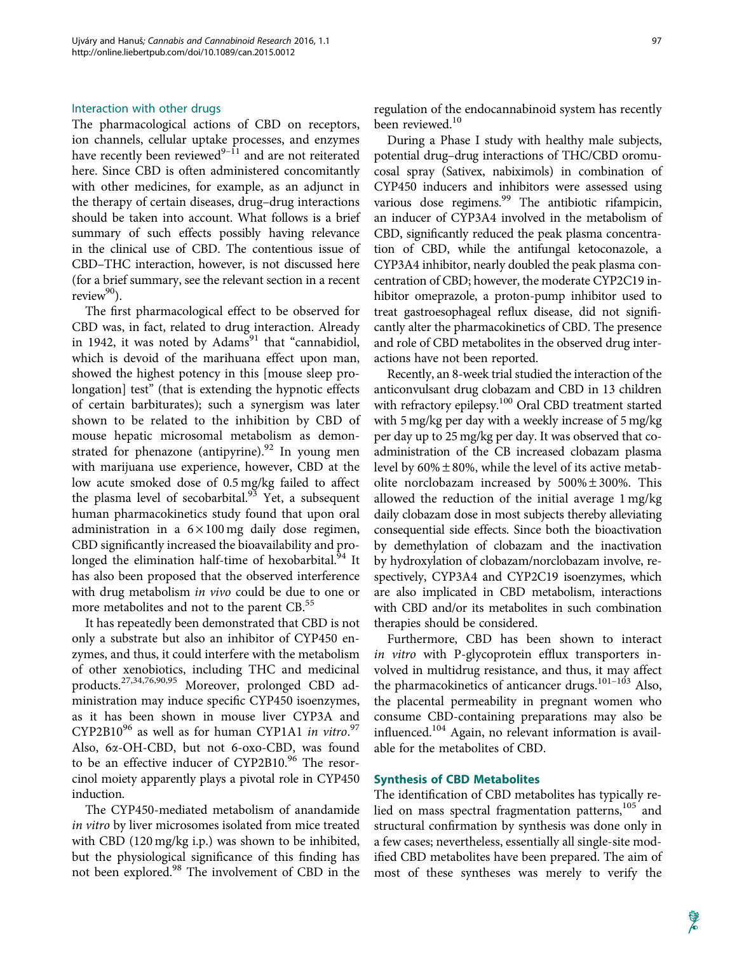#### Interaction with other drugs

The pharmacological actions of CBD on receptors, ion channels, cellular uptake processes, and enzymes have recently been reviewed $9-11$  and are not reiterated here. Since CBD is often administered concomitantly with other medicines, for example, as an adjunct in the therapy of certain diseases, drug–drug interactions should be taken into account. What follows is a brief summary of such effects possibly having relevance in the clinical use of CBD. The contentious issue of CBD–THC interaction, however, is not discussed here (for a brief summary, see the relevant section in a recent review $90$ .

The first pharmacological effect to be observed for CBD was, in fact, related to drug interaction. Already in 1942, it was noted by  $Adams<sup>91</sup>$  that "cannabidiol, which is devoid of the marihuana effect upon man, showed the highest potency in this [mouse sleep prolongation] test" (that is extending the hypnotic effects of certain barbiturates); such a synergism was later shown to be related to the inhibition by CBD of mouse hepatic microsomal metabolism as demonstrated for phenazone (antipyrine). $92$  In young men with marijuana use experience, however, CBD at the low acute smoked dose of 0.5 mg/kg failed to affect the plasma level of secobarbital.<sup>93</sup> Yet, a subsequent human pharmacokinetics study found that upon oral administration in a  $6 \times 100$  mg daily dose regimen, CBD significantly increased the bioavailability and prolonged the elimination half-time of hexobarbital.<sup>94</sup> It has also been proposed that the observed interference with drug metabolism *in vivo* could be due to one or more metabolites and not to the parent CB.<sup>55</sup>

It has repeatedly been demonstrated that CBD is not only a substrate but also an inhibitor of CYP450 enzymes, and thus, it could interfere with the metabolism of other xenobiotics, including THC and medicinal products.27,34,76,90,95 Moreover, prolonged CBD administration may induce specific CYP450 isoenzymes, as it has been shown in mouse liver CYP3A and CYP2B10<sup>96</sup> as well as for human CYP1A1 in vitro.<sup>97</sup> Also, 6x-OH-CBD, but not 6-oxo-CBD, was found to be an effective inducer of CYP2B10.96 The resorcinol moiety apparently plays a pivotal role in CYP450 induction.

The CYP450-mediated metabolism of anandamide in vitro by liver microsomes isolated from mice treated with CBD (120 mg/kg i.p.) was shown to be inhibited, but the physiological significance of this finding has not been explored.<sup>98</sup> The involvement of CBD in the regulation of the endocannabinoid system has recently been reviewed.<sup>10</sup>

During a Phase I study with healthy male subjects, potential drug–drug interactions of THC/CBD oromucosal spray (Sativex, nabiximols) in combination of CYP450 inducers and inhibitors were assessed using various dose regimens.<sup>99</sup> The antibiotic rifampicin, an inducer of CYP3A4 involved in the metabolism of CBD, significantly reduced the peak plasma concentration of CBD, while the antifungal ketoconazole, a CYP3A4 inhibitor, nearly doubled the peak plasma concentration of CBD; however, the moderate CYP2C19 inhibitor omeprazole, a proton-pump inhibitor used to treat gastroesophageal reflux disease, did not significantly alter the pharmacokinetics of CBD. The presence and role of CBD metabolites in the observed drug interactions have not been reported.

Recently, an 8-week trial studied the interaction of the anticonvulsant drug clobazam and CBD in 13 children with refractory epilepsy.<sup>100</sup> Oral CBD treatment started with 5 mg/kg per day with a weekly increase of 5 mg/kg per day up to 25 mg/kg per day. It was observed that coadministration of the CB increased clobazam plasma level by  $60\% \pm 80\%$ , while the level of its active metabolite norclobazam increased by  $500\% \pm 300\%$ . This allowed the reduction of the initial average 1 mg/kg daily clobazam dose in most subjects thereby alleviating consequential side effects. Since both the bioactivation by demethylation of clobazam and the inactivation by hydroxylation of clobazam/norclobazam involve, respectively, CYP3A4 and CYP2C19 isoenzymes, which are also implicated in CBD metabolism, interactions with CBD and/or its metabolites in such combination therapies should be considered.

Furthermore, CBD has been shown to interact in vitro with P-glycoprotein efflux transporters involved in multidrug resistance, and thus, it may affect the pharmacokinetics of anticancer drugs.<sup>101-103</sup> Also, the placental permeability in pregnant women who consume CBD-containing preparations may also be influenced.<sup>104</sup> Again, no relevant information is available for the metabolites of CBD.

#### Synthesis of CBD Metabolites

The identification of CBD metabolites has typically relied on mass spectral fragmentation patterns,<sup>105</sup> and structural confirmation by synthesis was done only in a few cases; nevertheless, essentially all single-site modified CBD metabolites have been prepared. The aim of most of these syntheses was merely to verify the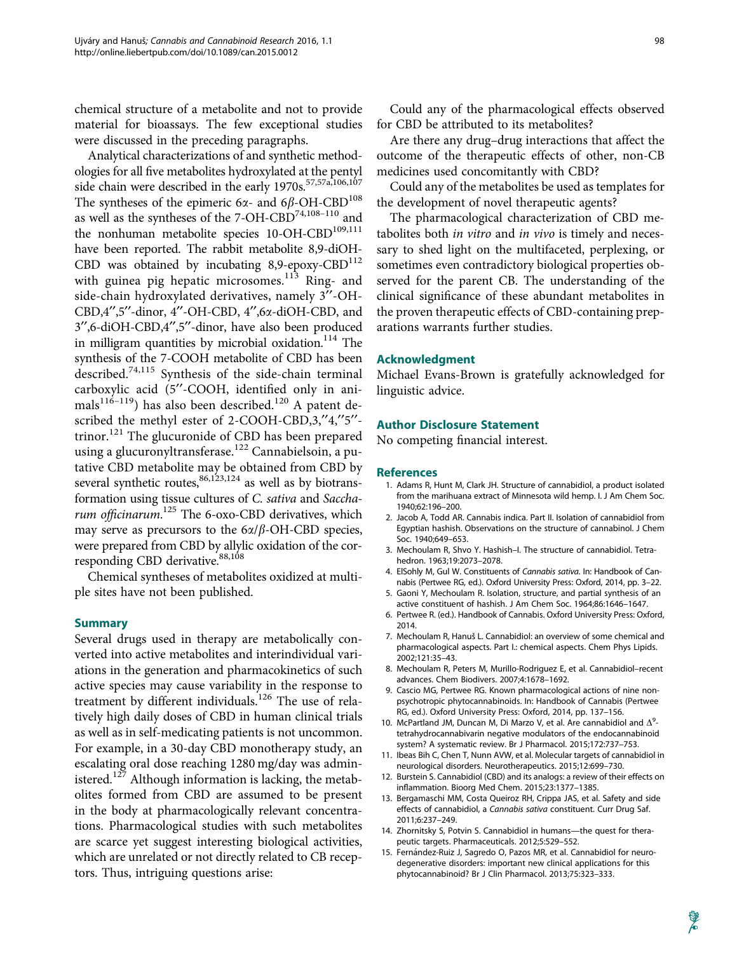chemical structure of a metabolite and not to provide material for bioassays. The few exceptional studies were discussed in the preceding paragraphs.

Analytical characterizations of and synthetic methodologies for all five metabolites hydroxylated at the pentyl side chain were described in the early 1970s.<sup>57,57a,106,107</sup> The syntheses of the epimeric 6 $\alpha$ - and 6 $\beta$ -OH-CBD<sup>108</sup> as well as the syntheses of the 7-OH-CBD74,108–110 and the nonhuman metabolite species  $10$ -OH-CBD<sup>109,111</sup> have been reported. The rabbit metabolite 8,9-diOH-CBD was obtained by incubating  $8,9$ -epoxy-CBD<sup>112</sup> with guinea pig hepatic microsomes. $113$  Ring- and side-chain hydroxylated derivatives, namely 3"-OH-CBD,4",5"-dinor, 4"-OH-CBD, 4",6x-diOH-CBD, and 3",6-diOH-CBD,4",5"-dinor, have also been produced in milligram quantities by microbial oxidation.<sup>114</sup> The synthesis of the 7-COOH metabolite of CBD has been described.74,115 Synthesis of the side-chain terminal carboxylic acid (5"-COOH, identified only in animals<sup>116–119</sup>) has also been described.<sup>120</sup> A patent described the methyl ester of 2-COOH-CBD,3,"4,"5"trinor.<sup>121</sup> The glucuronide of CBD has been prepared using a glucuronyltransferase.<sup>122</sup> Cannabielsoin, a putative CBD metabolite may be obtained from CBD by several synthetic routes,  $86,123,124$  as well as by biotransformation using tissue cultures of C. sativa and Saccharum officinarum.<sup>125</sup> The 6-oxo-CBD derivatives, which may serve as precursors to the  $6\alpha/\beta$ -OH-CBD species, were prepared from CBD by allylic oxidation of the corresponding CBD derivative.<sup>88,108</sup>

Chemical syntheses of metabolites oxidized at multiple sites have not been published.

#### Summary

Several drugs used in therapy are metabolically converted into active metabolites and interindividual variations in the generation and pharmacokinetics of such active species may cause variability in the response to treatment by different individuals.<sup>126</sup> The use of relatively high daily doses of CBD in human clinical trials as well as in self-medicating patients is not uncommon. For example, in a 30-day CBD monotherapy study, an escalating oral dose reaching 1280 mg/day was administered. $127$  Although information is lacking, the metabolites formed from CBD are assumed to be present in the body at pharmacologically relevant concentrations. Pharmacological studies with such metabolites are scarce yet suggest interesting biological activities, which are unrelated or not directly related to CB receptors. Thus, intriguing questions arise:

Could any of the pharmacological effects observed for CBD be attributed to its metabolites?

Are there any drug–drug interactions that affect the outcome of the therapeutic effects of other, non-CB medicines used concomitantly with CBD?

Could any of the metabolites be used as templates for the development of novel therapeutic agents?

The pharmacological characterization of CBD metabolites both in vitro and in vivo is timely and necessary to shed light on the multifaceted, perplexing, or sometimes even contradictory biological properties observed for the parent CB. The understanding of the clinical significance of these abundant metabolites in the proven therapeutic effects of CBD-containing preparations warrants further studies.

#### Acknowledgment

Michael Evans-Brown is gratefully acknowledged for linguistic advice.

#### Author Disclosure Statement

No competing financial interest.

#### **References**

- 1. Adams R, Hunt M, Clark JH. Structure of cannabidiol, a product isolated from the marihuana extract of Minnesota wild hemp. I. J Am Chem Soc. 1940;62:196–200.
- 2. Jacob A, Todd AR. Cannabis indica. Part II. Isolation of cannabidiol from Egyptian hashish. Observations on the structure of cannabinol. J Chem Soc. 1940;649–653.
- 3. Mechoulam R, Shvo Y. Hashish–I. The structure of cannabidiol. Tetrahedron. 1963;19:2073–2078.
- 4. ElSohly M, Gul W. Constituents of Cannabis sativa. In: Handbook of Cannabis (Pertwee RG, ed.). Oxford University Press: Oxford, 2014, pp. 3–22.
- 5. Gaoni Y, Mechoulam R. Isolation, structure, and partial synthesis of an active constituent of hashish. J Am Chem Soc. 1964;86:1646–1647.
- 6. Pertwee R. (ed.). Handbook of Cannabis. Oxford University Press: Oxford, 2014.
- 7. Mechoulam R, Hanuš L. Cannabidiol: an overview of some chemical and pharmacological aspects. Part I.: chemical aspects. Chem Phys Lipids. 2002;121:35–43.
- 8. Mechoulam R, Peters M, Murillo-Rodriguez E, et al. Cannabidiol–recent advances. Chem Biodivers. 2007;4:1678–1692.
- 9. Cascio MG, Pertwee RG. Known pharmacological actions of nine nonpsychotropic phytocannabinoids. In: Handbook of Cannabis (Pertwee RG, ed.). Oxford University Press: Oxford, 2014, pp. 137–156.
- 10. McPartland JM, Duncan M, Di Marzo V, et al. Are cannabidiol and  $\Delta^9$ tetrahydrocannabivarin negative modulators of the endocannabinoid system? A systematic review. Br J Pharmacol. 2015;172:737–753.
- 11. Ibeas Bih C, Chen T, Nunn AVW, et al. Molecular targets of cannabidiol in neurological disorders. Neurotherapeutics. 2015;12:699–730.
- 12. Burstein S. Cannabidiol (CBD) and its analogs: a review of their effects on inflammation. Bioorg Med Chem. 2015;23:1377–1385.
- 13. Bergamaschi MM, Costa Queiroz RH, Crippa JAS, et al. Safety and side effects of cannabidiol, a Cannabis sativa constituent. Curr Drug Saf. 2011;6:237–249.
- 14. Zhornitsky S, Potvin S. Cannabidiol in humans—the quest for therapeutic targets. Pharmaceuticals. 2012;5:529–552.
- 15. Fernández-Ruiz J, Sagredo O, Pazos MR, et al. Cannabidiol for neurodegenerative disorders: important new clinical applications for this phytocannabinoid? Br J Clin Pharmacol. 2013;75:323–333.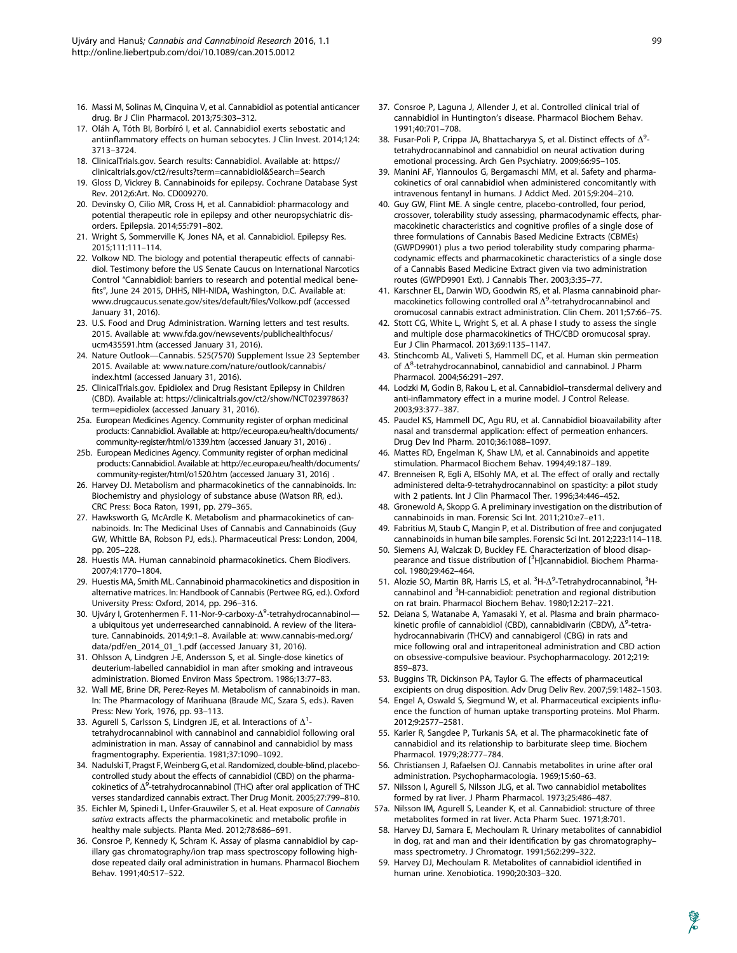- 16. Massi M, Solinas M, Cinquina V, et al. Cannabidiol as potential anticancer drug. Br J Clin Pharmacol. 2013;75:303–312.
- 17. Oláh A, Tóth BI, Borbíró I, et al. Cannabidiol exerts sebostatic and antiinflammatory effects on human sebocytes. J Clin Invest. 2014;124: 3713–3724.
- 18. ClinicalTrials.gov. Search results: Cannabidiol. Available at: https:// clinicaltrials.gov/ct2/results?term=cannabidiol&Search=Search
- 19. Gloss D, Vickrey B. Cannabinoids for epilepsy. Cochrane Database Syst Rev. 2012;6:Art. No. CD009270.
- 20. Devinsky O, Cilio MR, Cross H, et al. Cannabidiol: pharmacology and potential therapeutic role in epilepsy and other neuropsychiatric disorders. Epilepsia. 2014;55:791–802.
- 21. Wright S, Sommerville K, Jones NA, et al. Cannabidiol. Epilepsy Res. 2015;111:111–114.
- 22. Volkow ND. The biology and potential therapeutic effects of cannabidiol. Testimony before the US Senate Caucus on International Narcotics Control ''Cannabidiol: barriers to research and potential medical benefits'', June 24 2015, DHHS, NIH-NIDA, Washington, D.C. Available at: www.drugcaucus.senate.gov/sites/default/files/Volkow.pdf (accessed January 31, 2016).
- 23. U.S. Food and Drug Administration. Warning letters and test results. 2015. Available at: www.fda.gov/newsevents/publichealthfocus/ ucm435591.htm (accessed January 31, 2016).
- 24. Nature Outlook—Cannabis. 525(7570) Supplement Issue 23 September 2015. Available at: www.nature.com/nature/outlook/cannabis/ index.html (accessed January 31, 2016).
- 25. ClinicalTrials.gov. Epidiolex and Drug Resistant Epilepsy in Children (CBD). Available at: https://clinicaltrials.gov/ct2/show/NCT02397863? term=epidiolex (accessed January 31, 2016).
- 25a. European Medicines Agency. Community register of orphan medicinal products: Cannabidiol. Available at: http://ec.europa.eu/health/documents/ community-register/html/o1339.htm (accessed January 31, 2016) .
- 25b. European Medicines Agency. Community register of orphan medicinal products: Cannabidiol. Available at: http://ec.europa.eu/health/documents/ community-register/html/o1520.htm (accessed January 31, 2016) .
- 26. Harvey DJ. Metabolism and pharmacokinetics of the cannabinoids. In: Biochemistry and physiology of substance abuse (Watson RR, ed.). CRC Press: Boca Raton, 1991, pp. 279–365.
- 27. Hawksworth G, McArdle K. Metabolism and pharmacokinetics of cannabinoids. In: The Medicinal Uses of Cannabis and Cannabinoids (Guy GW, Whittle BA, Robson PJ, eds.). Pharmaceutical Press: London, 2004, pp. 205–228.
- 28. Huestis MA. Human cannabinoid pharmacokinetics. Chem Biodivers. 2007;4:1770–1804.
- 29. Huestis MA, Smith ML. Cannabinoid pharmacokinetics and disposition in alternative matrices. In: Handbook of Cannabis (Pertwee RG, ed.). Oxford University Press: Oxford, 2014, pp. 296–316.
- 30. Ujváry I, Grotenhermen F. 11-Nor-9-carboxy- $\Delta^9$ -tetrahydrocannabinol a ubiquitous yet underresearched cannabinoid. A review of the literature. Cannabinoids. 2014;9:1–8. Available at: www.cannabis-med.org/ data/pdf/en\_2014\_01\_1.pdf (accessed January 31, 2016).
- 31. Ohlsson A, Lindgren J-E, Andersson S, et al. Single-dose kinetics of deuterium-labelled cannabidiol in man after smoking and intraveous administration. Biomed Environ Mass Spectrom. 1986;13:77–83.
- 32. Wall ME, Brine DR, Perez-Reyes M. Metabolism of cannabinoids in man. In: The Pharmacology of Marihuana (Braude MC, Szara S, eds.). Raven Press: New York, 1976, pp. 93–113.
- 33. Agurell S, Carlsson S, Lindgren JE, et al. Interactions of  $\Delta^1$ tetrahydrocannabinol with cannabinol and cannabidiol following oral administration in man. Assay of cannabinol and cannabidiol by mass fragmentography. Experientia. 1981;37:1090–1092.
- 34. Nadulski T, Pragst F, Weinberg G, et al. Randomized, double-blind, placebocontrolled study about the effects of cannabidiol (CBD) on the pharmacokinetics of  $\Delta^9$ -tetrahydrocannabinol (THC) after oral application of THC verses standardized cannabis extract. Ther Drug Monit. 2005;27:799–810.
- 35. Eichler M, Spinedi L, Unfer-Grauwiler S, et al. Heat exposure of Cannabis sativa extracts affects the pharmacokinetic and metabolic profile in healthy male subjects. Planta Med. 2012;78:686–691.
- 36. Consroe P, Kennedy K, Schram K. Assay of plasma cannabidiol by capillary gas chromatography/ion trap mass spectroscopy following highdose repeated daily oral administration in humans. Pharmacol Biochem Behav. 1991;40:517–522.
- 37. Consroe P, Laguna J, Allender J, et al. Controlled clinical trial of cannabidiol in Huntington's disease. Pharmacol Biochem Behav. 1991;40:701–708.
- 38. Fusar-Poli P, Crippa JA, Bhattacharyya S, et al. Distinct effects of  $\Delta^9$ tetrahydrocannabinol and cannabidiol on neural activation during emotional processing. Arch Gen Psychiatry. 2009;66:95–105.
- 39. Manini AF, Yiannoulos G, Bergamaschi MM, et al. Safety and pharmacokinetics of oral cannabidiol when administered concomitantly with intravenous fentanyl in humans. J Addict Med. 2015;9:204–210.
- 40. Guy GW, Flint ME. A single centre, placebo-controlled, four period, crossover, tolerability study assessing, pharmacodynamic effects, pharmacokinetic characteristics and cognitive profiles of a single dose of three formulations of Cannabis Based Medicine Extracts (CBMEs) (GWPD9901) plus a two period tolerability study comparing pharmacodynamic effects and pharmacokinetic characteristics of a single dose of a Cannabis Based Medicine Extract given via two administration routes (GWPD9901 Ext). J Cannabis Ther. 2003;3:35–77.
- 41. Karschner EL, Darwin WD, Goodwin RS, et al. Plasma cannabinoid pharmacokinetics following controlled oral  $\Delta^9$ -tetrahydrocannabinol and oromucosal cannabis extract administration. Clin Chem. 2011;57:66–75.
- 42. Stott CG, White L, Wright S, et al. A phase I study to assess the single and multiple dose pharmacokinetics of THC/CBD oromucosal spray. Eur J Clin Pharmacol. 2013;69:1135–1147.
- 43. Stinchcomb AL, Valiveti S, Hammell DC, et al. Human skin permeation of  $\Delta^8$ -tetrahydrocannabinol, cannabidiol and cannabinol. J Pharm Pharmacol. 2004;56:291–297.
- 44. Lodzki M, Godin B, Rakou L, et al. Cannabidiol–transdermal delivery and anti-inflammatory effect in a murine model. J Control Release. 2003;93:377–387.
- 45. Paudel KS, Hammell DC, Agu RU, et al. Cannabidiol bioavailability after nasal and transdermal application: effect of permeation enhancers. Drug Dev Ind Pharm. 2010;36:1088–1097.
- 46. Mattes RD, Engelman K, Shaw LM, et al. Cannabinoids and appetite stimulation. Pharmacol Biochem Behav. 1994;49:187–189.
- 47. Brenneisen R, Egli A, ElSohly MA, et al. The effect of orally and rectally administered delta-9-tetrahydrocannabinol on spasticity: a pilot study with 2 patients. Int J Clin Pharmacol Ther. 1996;34:446–452.
- 48. Gronewold A, Skopp G. A preliminary investigation on the distribution of cannabinoids in man. Forensic Sci Int. 2011;210:e7–e11.
- 49. Fabritius M, Staub C, Mangin P, et al. Distribution of free and conjugated cannabinoids in human bile samples. Forensic Sci Int. 2012;223:114–118.
- 50. Siemens AJ, Walczak D, Buckley FE. Characterization of blood disappearance and tissue distribution of [<sup>3</sup>H]cannabidiol. Biochem Pharmacol. 1980;29:462–464.
- 51. Alozie SO, Martin BR, Harris LS, et al. <sup>3</sup>H- $\Delta^9$ -Tetrahydrocannabinol, <sup>3</sup>Hcannabinol and <sup>3</sup>H-cannabidiol: penetration and regional distribution on rat brain. Pharmacol Biochem Behav. 1980;12:217–221.
- 52. Deiana S, Watanabe A, Yamasaki Y, et al. Plasma and brain pharmacokinetic profile of cannabidiol (CBD), cannabidivarin (CBDV),  $\Delta^9$ -tetrahydrocannabivarin (THCV) and cannabigerol (CBG) in rats and mice following oral and intraperitoneal administration and CBD action on obsessive-compulsive beaviour. Psychopharmacology. 2012;219: 859–873.
- 53. Buggins TR, Dickinson PA, Taylor G. The effects of pharmaceutical excipients on drug disposition. Adv Drug Deliv Rev. 2007;59:1482–1503.
- 54. Engel A, Oswald S, Siegmund W, et al. Pharmaceutical excipients influence the function of human uptake transporting proteins. Mol Pharm. 2012;9:2577–2581.
- 55. Karler R, Sangdee P, Turkanis SA, et al. The pharmacokinetic fate of cannabidiol and its relationship to barbiturate sleep time. Biochem Pharmacol. 1979;28:777–784.
- 56. Christiansen J, Rafaelsen OJ. Cannabis metabolites in urine after oral administration. Psychopharmacologia. 1969;15:60–63.
- 57. Nilsson I, Agurell S, Nilsson JLG, et al. Two cannabidiol metabolites formed by rat liver. J Pharm Pharmacol. 1973;25:486–487.
- 57a. Nilsson IM, Agurell S, Leander K, et al. Cannabidiol: structure of three metabolites formed in rat liver. Acta Pharm Suec. 1971;8:701.
- 58. Harvey DJ, Samara E, Mechoulam R. Urinary metabolites of cannabidiol in dog, rat and man and their identification by gas chromatography– mass spectrometry. J Chromatogr. 1991;562:299–322.
- 59. Harvey DJ, Mechoulam R. Metabolites of cannabidiol identified in human urine. Xenobiotica. 1990;20:303–320.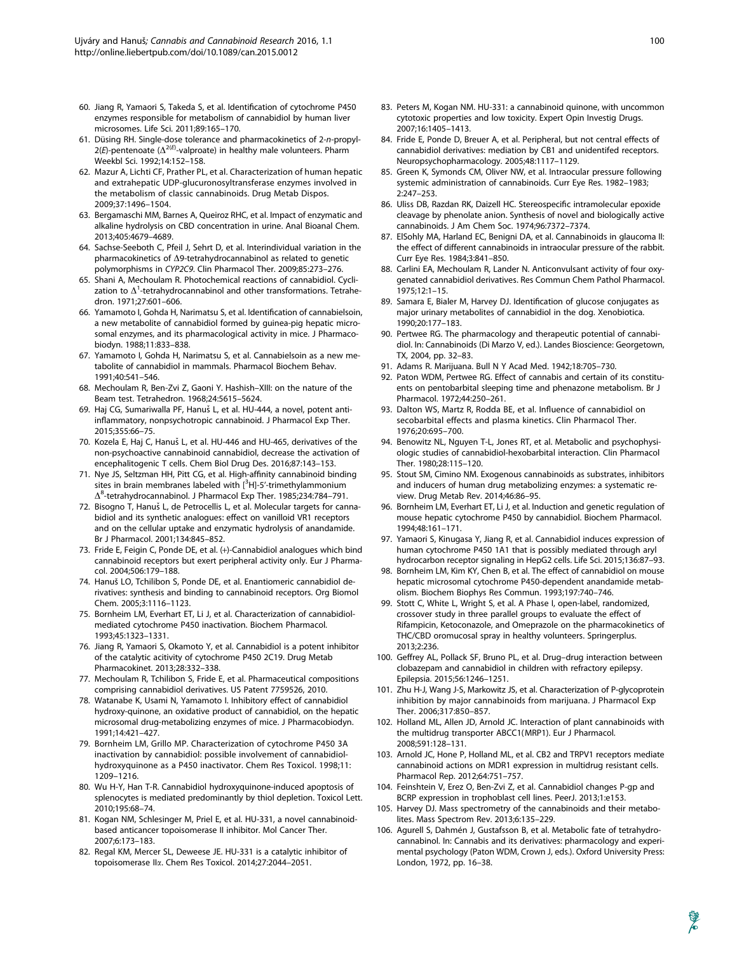- 60. Jiang R, Yamaori S, Takeda S, et al. Identification of cytochrome P450 enzymes responsible for metabolism of cannabidiol by human liver microsomes. Life Sci. 2011;89:165–170.
- 61. Düsing RH. Single-dose tolerance and pharmacokinetics of 2-n-propyl- $2(E)$ -pentenoate ( $\Delta^{2(E)}$ -valproate) in healthy male volunteers. Pharm Weekbl Sci. 1992;14:152–158.
- 62. Mazur A, Lichti CF, Prather PL, et al. Characterization of human hepatic and extrahepatic UDP-glucuronosyltransferase enzymes involved in the metabolism of classic cannabinoids. Drug Metab Dispos. 2009;37:1496–1504.
- 63. Bergamaschi MM, Barnes A, Queiroz RHC, et al. Impact of enzymatic and alkaline hydrolysis on CBD concentration in urine. Anal Bioanal Chem. 2013;405:4679–4689.
- 64. Sachse-Seeboth C, Pfeil J, Sehrt D, et al. Interindividual variation in the pharmacokinetics of  $\Delta$ 9-tetrahydrocannabinol as related to genetic polymorphisms in CYP2C9. Clin Pharmacol Ther. 2009;85:273–276.
- 65. Shani A, Mechoulam R. Photochemical reactions of cannabidiol. Cyclization to  $\Delta^1$ -tetrahydrocannabinol and other transformations. Tetrahedron. 1971;27:601–606.
- 66. Yamamoto I, Gohda H, Narimatsu S, et al. Identification of cannabielsoin, a new metabolite of cannabidiol formed by guinea-pig hepatic microsomal enzymes, and its pharmacological activity in mice. J Pharmacobiodyn. 1988;11:833–838.
- 67. Yamamoto I, Gohda H, Narimatsu S, et al. Cannabielsoin as a new metabolite of cannabidiol in mammals. Pharmacol Biochem Behav. 1991;40:541–546.
- 68. Mechoulam R, Ben-Zvi Z, Gaoni Y. Hashish–XIII: on the nature of the Beam test. Tetrahedron. 1968;24:5615–5624.
- 69. Haj CG, Sumariwalla PF, Hanuš L, et al. HU-444, a novel, potent antiinflammatory, nonpsychotropic cannabinoid. J Pharmacol Exp Ther. 2015;355:66–75.
- 70. Kozela E, Haj C, Hanuš L, et al. HU-446 and HU-465, derivatives of the non-psychoactive cannabinoid cannabidiol, decrease the activation of encephalitogenic T cells. Chem Biol Drug Des. 2016;87:143–153.
- 71. Nye JS, Seltzman HH, Pitt CG, et al. High-affinity cannabinoid binding sites in brain membranes labeled with  $[^3H]$ -5'-trimethylammonium  $\Delta^8$ -tetrahydrocannabinol. J Pharmacol Exp Ther. 1985;234:784-791.
- 72. Bisogno T, Hanuš L, de Petrocellis L, et al. Molecular targets for cannabidiol and its synthetic analogues: effect on vanilloid VR1 receptors and on the cellular uptake and enzymatic hydrolysis of anandamide. Br J Pharmacol. 2001;134:845–852.
- 73. Fride E, Feigin C, Ponde DE, et al. (+)-Cannabidiol analogues which bind cannabinoid receptors but exert peripheral activity only. Eur J Pharmacol. 2004;506:179–188.
- 74. Hanuš LO, Tchilibon S, Ponde DE, et al. Enantiomeric cannabidiol derivatives: synthesis and binding to cannabinoid receptors. Org Biomol Chem. 2005;3:1116–1123.
- 75. Bornheim LM, Everhart ET, Li J, et al. Characterization of cannabidiolmediated cytochrome P450 inactivation. Biochem Pharmacol. 1993;45:1323–1331.
- 76. Jiang R, Yamaori S, Okamoto Y, et al. Cannabidiol is a potent inhibitor of the catalytic acitivity of cytochrome P450 2C19. Drug Metab Pharmacokinet. 2013;28:332–338.
- 77. Mechoulam R, Tchilibon S, Fride E, et al. Pharmaceutical compositions comprising cannabidiol derivatives. US Patent 7759526, 2010.
- 78. Watanabe K, Usami N, Yamamoto I. Inhibitory effect of cannabidiol hydroxy-quinone, an oxidative product of cannabidiol, on the hepatic microsomal drug-metabolizing enzymes of mice. J Pharmacobiodyn. 1991;14:421–427.
- 79. Bornheim LM, Grillo MP. Characterization of cytochrome P450 3A inactivation by cannabidiol: possible involvement of cannabidiolhydroxyquinone as a P450 inactivator. Chem Res Toxicol. 1998;11: 1209–1216.
- 80. Wu H-Y, Han T-R. Cannabidiol hydroxyquinone-induced apoptosis of splenocytes is mediated predominantly by thiol depletion. Toxicol Lett. 2010;195:68–74.
- 81. Kogan NM, Schlesinger M, Priel E, et al. HU-331, a novel cannabinoidbased anticancer topoisomerase II inhibitor. Mol Cancer Ther. 2007;6:173–183.
- 82. Regal KM, Mercer SL, Deweese JE. HU-331 is a catalytic inhibitor of topoisomerase IIa. Chem Res Toxicol. 2014;27:2044–2051.
- 83. Peters M, Kogan NM. HU-331: a cannabinoid quinone, with uncommon cytotoxic properties and low toxicity. Expert Opin Investig Drugs. 2007;16:1405–1413.
- 84. Fride E, Ponde D, Breuer A, et al. Peripheral, but not central effects of cannabidiol derivatives: mediation by CB1 and unidentifed receptors. Neuropsychopharmacology. 2005;48:1117–1129.
- 85. Green K, Symonds CM, Oliver NW, et al. Intraocular pressure following systemic administration of cannabinoids. Curr Eye Res. 1982–1983; 2:247–253.
- 86. Uliss DB, Razdan RK, Daizell HC. Stereospecific intramolecular epoxide cleavage by phenolate anion. Synthesis of novel and biologically active cannabinoids. J Am Chem Soc. 1974;96:7372–7374.
- 87. ElSohly MA, Harland EC, Benigni DA, et al. Cannabinoids in glaucoma II: the effect of different cannabinoids in intraocular pressure of the rabbit. Curr Eye Res. 1984;3:841–850.
- 88. Carlini EA, Mechoulam R, Lander N. Anticonvulsant activity of four oxygenated cannabidiol derivatives. Res Commun Chem Pathol Pharmacol. 1975;12:1–15.
- 89. Samara E, Bialer M, Harvey DJ. Identification of glucose conjugates as major urinary metabolites of cannabidiol in the dog. Xenobiotica. 1990;20:177–183.
- 90. Pertwee RG. The pharmacology and therapeutic potential of cannabidiol. In: Cannabinoids (Di Marzo V, ed.). Landes Bioscience: Georgetown, TX, 2004, pp. 32–83.
- 91. Adams R. Marijuana. Bull N Y Acad Med. 1942;18:705–730.
- 92. Paton WDM, Pertwee RG. Effect of cannabis and certain of its constituents on pentobarbital sleeping time and phenazone metabolism. Br J Pharmacol. 1972;44:250–261.
- 93. Dalton WS, Martz R, Rodda BE, et al. Influence of cannabidiol on secobarbital effects and plasma kinetics. Clin Pharmacol Ther. 1976;20:695–700.
- 94. Benowitz NL, Nguyen T-L, Jones RT, et al. Metabolic and psychophysiologic studies of cannabidiol-hexobarbital interaction. Clin Pharmacol Ther. 1980;28:115–120.
- 95. Stout SM, Cimino NM. Exogenous cannabinoids as substrates, inhibitors and inducers of human drug metabolizing enzymes: a systematic review. Drug Metab Rev. 2014;46:86–95.
- 96. Bornheim LM, Everhart ET, Li J, et al. Induction and genetic regulation of mouse hepatic cytochrome P450 by cannabidiol. Biochem Pharmacol. 1994;48:161–171.
- 97. Yamaori S, Kinugasa Y, Jiang R, et al. Cannabidiol induces expression of human cytochrome P450 1A1 that is possibly mediated through aryl hydrocarbon receptor signaling in HepG2 cells. Life Sci. 2015;136:87–93.
- 98. Bornheim LM, Kim KY, Chen B, et al. The effect of cannabidiol on mouse hepatic microsomal cytochrome P450-dependent anandamide metabolism. Biochem Biophys Res Commun. 1993;197:740–746.
- 99. Stott C, White L, Wright S, et al. A Phase I, open-label, randomized, crossover study in three parallel groups to evaluate the effect of Rifampicin, Ketoconazole, and Omeprazole on the pharmacokinetics of THC/CBD oromucosal spray in healthy volunteers. Springerplus. 2013;2:236.
- 100. Geffrey AL, Pollack SF, Bruno PL, et al. Drug–drug interaction between clobazepam and cannabidiol in children with refractory epilepsy. Epilepsia. 2015;56:1246–1251.
- 101. Zhu H-J, Wang J-S, Markowitz JS, et al. Characterization of P-glycoprotein inhibition by major cannabinoids from marijuana. J Pharmacol Exp Ther. 2006;317:850–857.
- 102. Holland ML, Allen JD, Arnold JC. Interaction of plant cannabinoids with the multidrug transporter ABCC1(MRP1). Eur J Pharmacol. 2008;591:128–131.
- 103. Arnold JC, Hone P, Holland ML, et al. CB2 and TRPV1 receptors mediate cannabinoid actions on MDR1 expression in multidrug resistant cells. Pharmacol Rep. 2012;64:751–757.
- 104. Feinshtein V, Erez O, Ben-Zvi Z, et al. Cannabidiol changes P-gp and BCRP expression in trophoblast cell lines. PeerJ. 2013;1:e153.
- 105. Harvey DJ. Mass spectrometry of the cannabinoids and their metabolites. Mass Spectrom Rev. 2013;6:135–229.
- 106. Agurell S, Dahmén J, Gustafsson B, et al. Metabolic fate of tetrahydrocannabinol. In: Cannabis and its derivatives: pharmacology and experimental psychology (Paton WDM, Crown J, eds.). Oxford University Press: London, 1972, pp. 16–38.